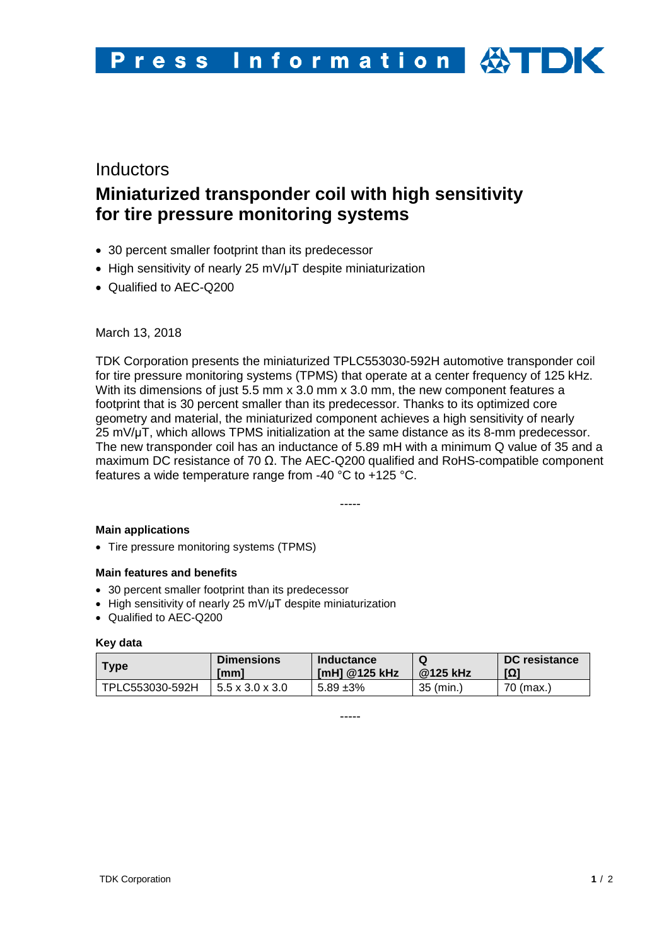# **Inductors Miniaturized transponder coil with high sensitivity for tire pressure monitoring systems**

- 30 percent smaller footprint than its predecessor
- High sensitivity of nearly 25 mV/µT despite miniaturization
- Qualified to AEC-Q200

March 13, 2018

TDK Corporation presents the miniaturized TPLC553030-592H automotive transponder coil for tire pressure monitoring systems (TPMS) that operate at a center frequency of 125 kHz. With its dimensions of just 5.5 mm x 3.0 mm x 3.0 mm, the new component features a footprint that is 30 percent smaller than its predecessor. Thanks to its optimized core geometry and material, the miniaturized component achieves a high sensitivity of nearly 25 mV/μT, which allows TPMS initialization at the same distance as its 8-mm predecessor. The new transponder coil has an inductance of 5.89 mH with a minimum Q value of 35 and a maximum DC resistance of 70 Ω. The AEC-Q200 qualified and RoHS-compatible component features a wide temperature range from -40 °C to +125 °C.

-----

## **Main applications**

• Tire pressure monitoring systems (TPMS)

## **Main features and benefits**

- 30 percent smaller footprint than its predecessor
- High sensitivity of nearly 25 mV/μT despite miniaturization
- Qualified to AEC-Q200

#### **Key data**

| Type            | <b>Dimensions</b><br>[mm]   | Inductance<br>[mH] @125 kHz | @125 kHz  | <b>DC</b> resistance<br>ומן |
|-----------------|-----------------------------|-----------------------------|-----------|-----------------------------|
| TPLC553030-592H | $5.5 \times 3.0 \times 3.0$ | 5.89 ±3%                    | 35 (min.) | 70 (max.)                   |

-----